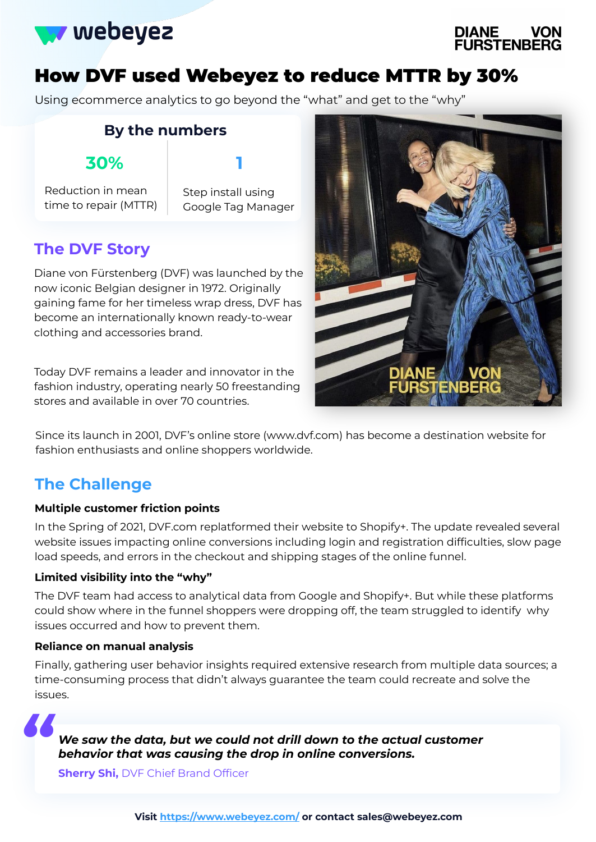

# How DVF used Webeyez to reduce MTTR by 30%

Using ecommerce analytics to go beyond the "what" and get to the "why"

### **By the numbers**

## **30%**

Reduction in mean time to repair (MTTR) **1**

Step install using Google Tag Manager

## **The DVF Story**

Diane von Fürstenberg (DVF) was launched by the now iconic Belgian designer in 1972. Originally gaining fame for her timeless wrap dress, DVF has become an internationally known ready-to-wear clothing and accessories brand.

Today DVF remains a leader and innovator in the fashion industry, operating nearly 50 freestanding stores and available in over 70 countries.



Since its launch in 2001, DVF's online store (www.dvf.com) has become a destination website for fashion enthusiasts and online shoppers worldwide.

## **The Challenge**

### **Multiple customer friction points**

In the Spring of 2021, DVF.com replatformed their website to Shopify+. The update revealed several website issues impacting online conversions including login and registration difficulties, slow page load speeds, and errors in the checkout and shipping stages of the online funnel.

### **Limited visibility into the "why"**

The DVF team had access to analytical data from Google and Shopify+. But while these platforms could show where in the funnel shoppers were dropping off, the team struggled to identify why issues occurred and how to prevent them.

### **Reliance on manual analysis**

Finally, gathering user behavior insights required extensive research from multiple data sources; a time-consuming process that didn't always guarantee the team could recreate and solve the issues.

*We saw the data, but we could not drill down to the actual customer " behavior that was causing the drop in online conversions.* 

**Sherry Shi,** DVF Chief Brand Officer